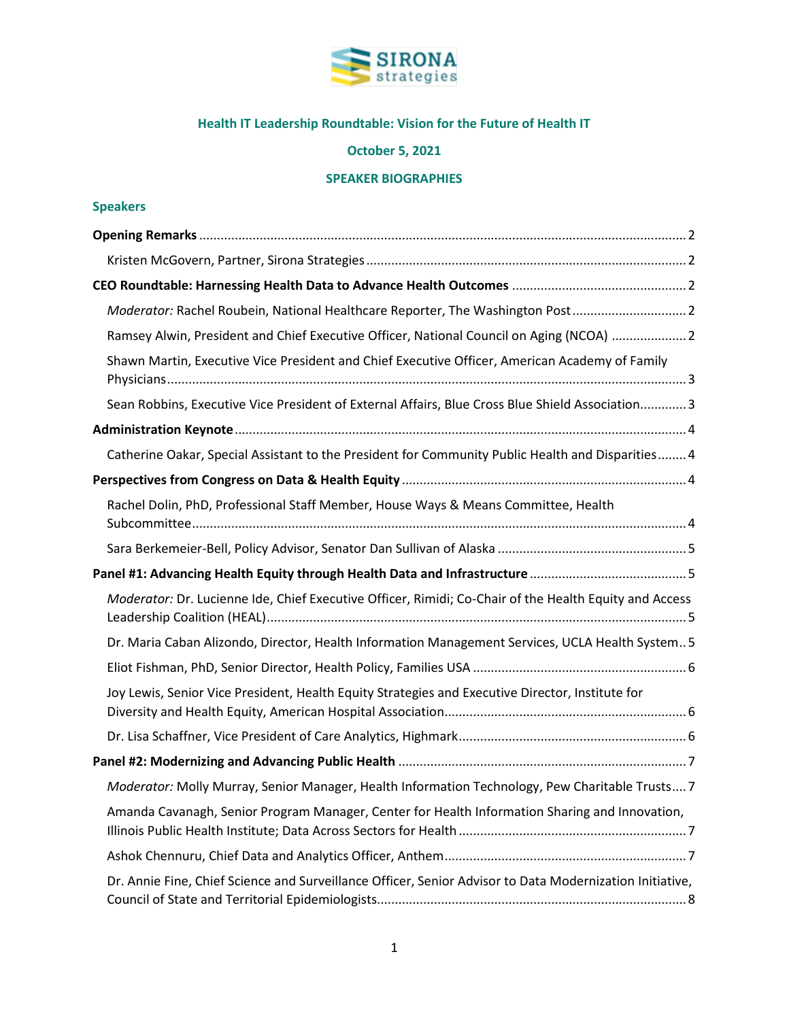

# **Health IT Leadership Roundtable: Vision for the Future of Health IT**

## **October 5, 2021**

## **SPEAKER BIOGRAPHIES**

| Moderator: Rachel Roubein, National Healthcare Reporter, The Washington Post 2                           |  |
|----------------------------------------------------------------------------------------------------------|--|
| Ramsey Alwin, President and Chief Executive Officer, National Council on Aging (NCOA)  2                 |  |
| Shawn Martin, Executive Vice President and Chief Executive Officer, American Academy of Family           |  |
| Sean Robbins, Executive Vice President of External Affairs, Blue Cross Blue Shield Association 3         |  |
|                                                                                                          |  |
| Catherine Oakar, Special Assistant to the President for Community Public Health and Disparities 4        |  |
|                                                                                                          |  |
| Rachel Dolin, PhD, Professional Staff Member, House Ways & Means Committee, Health                       |  |
|                                                                                                          |  |
|                                                                                                          |  |
| Moderator: Dr. Lucienne Ide, Chief Executive Officer, Rimidi; Co-Chair of the Health Equity and Access   |  |
| Dr. Maria Caban Alizondo, Director, Health Information Management Services, UCLA Health System 5         |  |
|                                                                                                          |  |
| Joy Lewis, Senior Vice President, Health Equity Strategies and Executive Director, Institute for         |  |
|                                                                                                          |  |
|                                                                                                          |  |
| Moderator: Molly Murray, Senior Manager, Health Information Technology, Pew Charitable Trusts 7          |  |
| Amanda Cavanagh, Senior Program Manager, Center for Health Information Sharing and Innovation,           |  |
|                                                                                                          |  |
| Dr. Annie Fine, Chief Science and Surveillance Officer, Senior Advisor to Data Modernization Initiative, |  |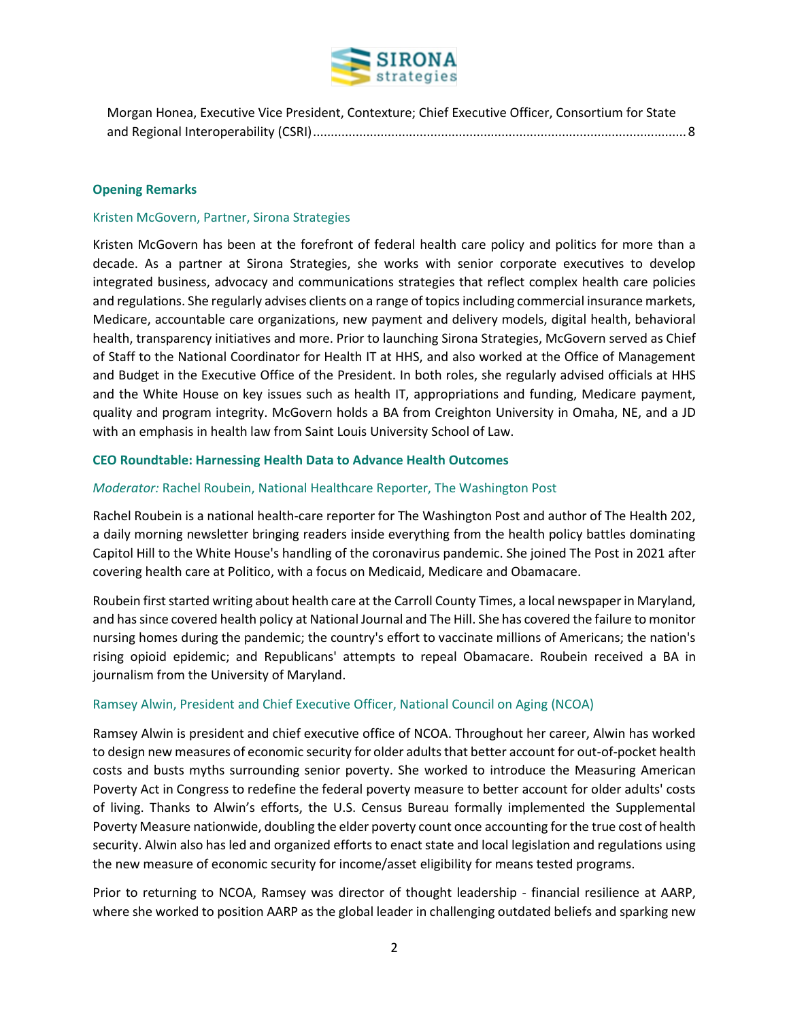

| Morgan Honea, Executive Vice President, Contexture; Chief Executive Officer, Consortium for State |  |
|---------------------------------------------------------------------------------------------------|--|
|                                                                                                   |  |

#### <span id="page-1-0"></span>**Opening Remarks**

#### <span id="page-1-1"></span>Kristen McGovern, Partner, Sirona Strategies

Kristen McGovern has been at the forefront of federal health care policy and politics for more than a decade. As a partner at Sirona Strategies, she works with senior corporate executives to develop integrated business, advocacy and communications strategies that reflect complex health care policies and regulations. She regularly advises clients on a range of topics including commercial insurance markets, Medicare, accountable care organizations, new payment and delivery models, digital health, behavioral health, transparency initiatives and more. Prior to launching Sirona Strategies, McGovern served as Chief of Staff to the National Coordinator for Health IT at HHS, and also worked at the Office of Management and Budget in the Executive Office of the President. In both roles, she regularly advised officials at HHS and the White House on key issues such as health IT, appropriations and funding, Medicare payment, quality and program integrity. McGovern holds a BA from Creighton University in Omaha, NE, and a JD with an emphasis in health law from Saint Louis University School of Law.

#### <span id="page-1-2"></span>**CEO Roundtable: Harnessing Health Data to Advance Health Outcomes**

#### <span id="page-1-3"></span>*Moderator:* Rachel Roubein, National Healthcare Reporter, The Washington Post

Rachel Roubein is a national health-care reporter for The Washington Post and author of The Health 202, a daily morning newsletter bringing readers inside everything from the health policy battles dominating Capitol Hill to the White House's handling of the coronavirus pandemic. She joined The Post in 2021 after covering health care at Politico, with a focus on Medicaid, Medicare and Obamacare.

Roubein first started writing about health care at the Carroll County Times, a local newspaper in Maryland, and has since covered health policy at National Journal and The Hill. She has covered the failure to monitor nursing homes during the pandemic; the country's effort to vaccinate millions of Americans; the nation's rising opioid epidemic; and Republicans' attempts to repeal Obamacare. Roubein received a BA in journalism from the University of Maryland.

## <span id="page-1-4"></span>Ramsey Alwin, President and Chief Executive Officer, National Council on Aging (NCOA)

Ramsey Alwin is president and chief executive office of NCOA. Throughout her career, Alwin has worked to design new measures of economic security for older adults that better account for out-of-pocket health costs and busts myths surrounding senior poverty. She worked to introduce the Measuring American Poverty Act in Congress to redefine the federal poverty measure to better account for older adults' costs of living. Thanks to Alwin's efforts, the U.S. Census Bureau formally implemented the Supplemental Poverty Measure nationwide, doubling the elder poverty count once accounting for the true cost of health security. Alwin also has led and organized efforts to enact state and local legislation and regulations using the new measure of economic security for income/asset eligibility for means tested programs.

Prior to returning to NCOA, Ramsey was director of thought leadership - financial resilience at AARP, where she worked to position AARP as the global leader in challenging outdated beliefs and sparking new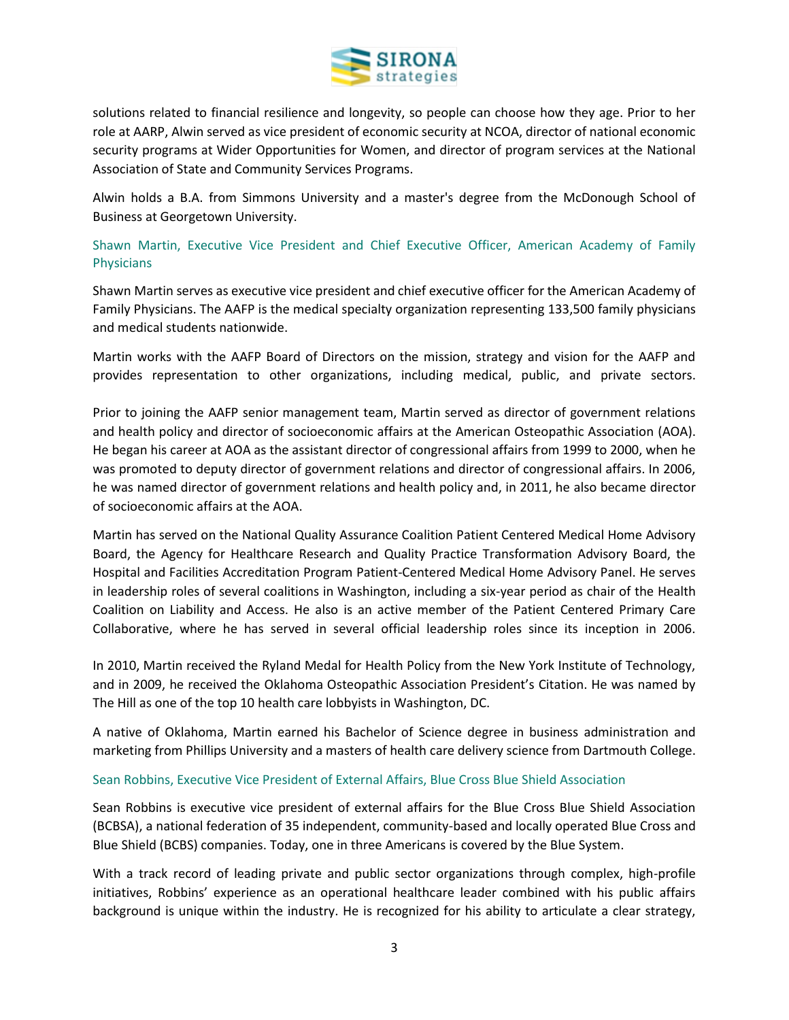

solutions related to financial resilience and longevity, so people can choose how they age. Prior to her role at AARP, Alwin served as vice president of economic security at NCOA, director of national economic security programs at Wider Opportunities for Women, and director of program services at the National Association of State and Community Services Programs.

Alwin holds a B.A. from Simmons University and a master's degree from the McDonough School of Business at Georgetown University.

## <span id="page-2-0"></span>Shawn Martin, Executive Vice President and Chief Executive Officer, American Academy of Family Physicians

Shawn Martin serves as executive vice president and chief executive officer for the American Academy of Family Physicians. The AAFP is the medical specialty organization representing 133,500 family physicians and medical students nationwide.

Martin works with the AAFP Board of Directors on the mission, strategy and vision for the AAFP and provides representation to other organizations, including medical, public, and private sectors.

Prior to joining the AAFP senior management team, Martin served as director of government relations and health policy and director of socioeconomic affairs at the American Osteopathic Association (AOA). He began his career at AOA as the assistant director of congressional affairs from 1999 to 2000, when he was promoted to deputy director of government relations and director of congressional affairs. In 2006, he was named director of government relations and health policy and, in 2011, he also became director of socioeconomic affairs at the AOA.

Martin has served on the National Quality Assurance Coalition Patient Centered Medical Home Advisory Board, the Agency for Healthcare Research and Quality Practice Transformation Advisory Board, the Hospital and Facilities Accreditation Program Patient-Centered Medical Home Advisory Panel. He serves in leadership roles of several coalitions in Washington, including a six-year period as chair of the Health Coalition on Liability and Access. He also is an active member of the Patient Centered Primary Care Collaborative, where he has served in several official leadership roles since its inception in 2006.

In 2010, Martin received the Ryland Medal for Health Policy from the New York Institute of Technology, and in 2009, he received the Oklahoma Osteopathic Association President's Citation. He was named by The Hill as one of the top 10 health care lobbyists in Washington, DC.

A native of Oklahoma, Martin earned his Bachelor of Science degree in business administration and marketing from Phillips University and a masters of health care delivery science from Dartmouth College.

## <span id="page-2-1"></span>Sean Robbins, Executive Vice President of External Affairs, Blue Cross Blue Shield Association

Sean Robbins is executive vice president of external affairs for the Blue Cross Blue Shield Association (BCBSA), a national federation of 35 independent, community-based and locally operated Blue Cross and Blue Shield (BCBS) companies. Today, one in three Americans is covered by the Blue System.

With a track record of leading private and public sector organizations through complex, high-profile initiatives, Robbins' experience as an operational healthcare leader combined with his public affairs background is unique within the industry. He is recognized for his ability to articulate a clear strategy,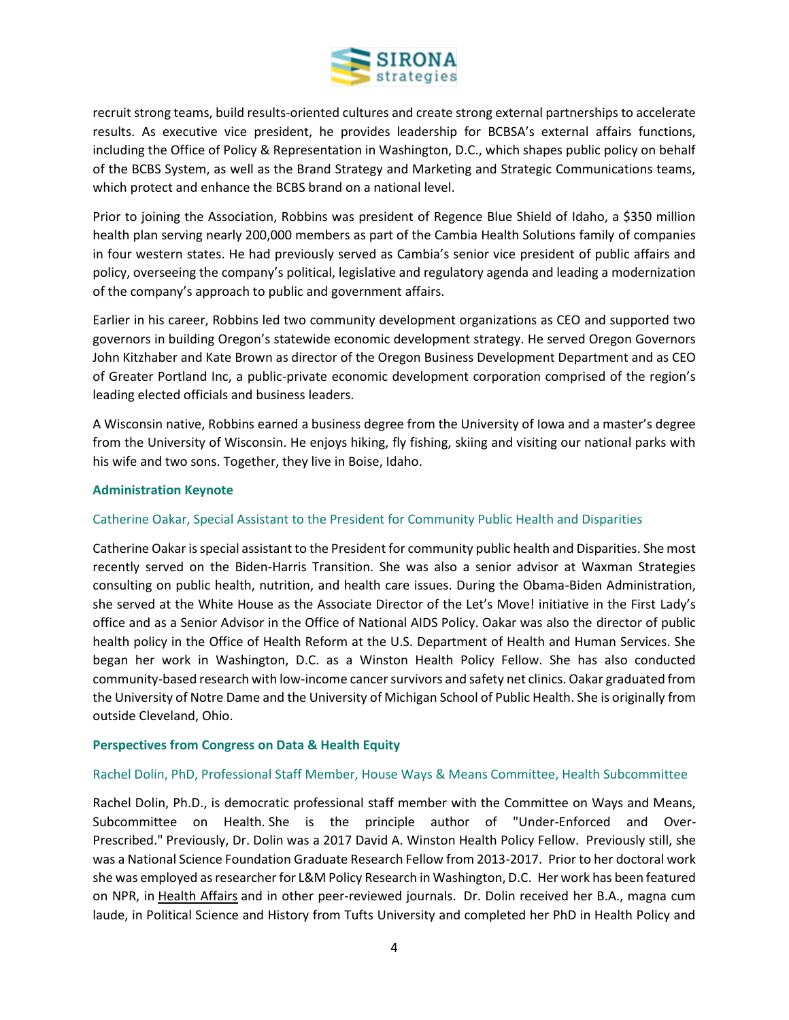

recruit strong teams, build results-oriented cultures and create strong external partnerships to accelerate results. As executive vice president, he provides leadership for BCBSA's external affairs functions, including the Office of Policy & Representation in Washington, D.C., which shapes public policy on behalf of the BCBS System, as well as the Brand Strategy and Marketing and Strategic Communications teams, which protect and enhance the BCBS brand on a national level.

Prior to joining the Association, Robbins was president of Regence Blue Shield of Idaho, a \$350 million health plan serving nearly 200,000 members as part of the Cambia Health Solutions family of companies in four western states. He had previously served as Cambia's senior vice president of public affairs and policy, overseeing the company's political, legislative and regulatory agenda and leading a modernization of the company's approach to public and government affairs.

Earlier in his career, Robbins led two community development organizations as CEO and supported two governors in building Oregon's statewide economic development strategy. He served Oregon Governors John Kitzhaber and Kate Brown as director of the Oregon Business Development Department and as CEO of Greater Portland Inc, a public-private economic development corporation comprised of the region's leading elected officials and business leaders.

A Wisconsin native, Robbins earned a business degree from the University of Iowa and a master's degree from the University of Wisconsin. He enjoys hiking, fly fishing, skiing and visiting our national parks with his wife and two sons. Together, they live in Boise, Idaho.

## <span id="page-3-0"></span>**Administration Keynote**

## <span id="page-3-1"></span>Catherine Oakar, Special Assistant to the President for Community Public Health and Disparities

Catherine Oakaris special assistant to the President for community public health and Disparities. She most recently served on the Biden-Harris Transition. She was also a senior advisor at Waxman Strategies consulting on public health, nutrition, and health care issues. During the Obama-Biden Administration, she served at the White House as the Associate Director of the Let's Move! initiative in the First Lady's office and as a Senior Advisor in the Office of National AIDS Policy. Oakar was also the director of public health policy in the Office of Health Reform at the U.S. Department of Health and Human Services. She began her work in Washington, D.C. as a Winston Health Policy Fellow. She has also conducted community-based research with low-income cancer survivors and safety net clinics. Oakar graduated from the University of Notre Dame and the University of Michigan School of Public Health. She is originally from outside Cleveland, Ohio.

#### <span id="page-3-2"></span>**Perspectives from Congress on Data & Health Equity**

#### <span id="page-3-3"></span>Rachel Dolin, PhD, Professional Staff Member, House Ways & Means Committee, Health Subcommittee

Rachel Dolin, Ph.D., is democratic professional staff member with the Committee on Ways and Means, Subcommittee on Health. She is the principle author of "Under-Enforced and Over-Prescribed." Previously, Dr. Dolin was a 2017 David A. Winston Health Policy Fellow. Previously still, she was a National Science Foundation Graduate Research Fellow from 2013-2017. Prior to her doctoral work she was employed as researcher for L&M Policy Research in Washington, D.C. Her work has been featured on NPR, in Health Affairs and in other peer-reviewed journals. Dr. Dolin received her B.A., magna cum laude, in Political Science and History from Tufts University and completed her PhD in Health Policy and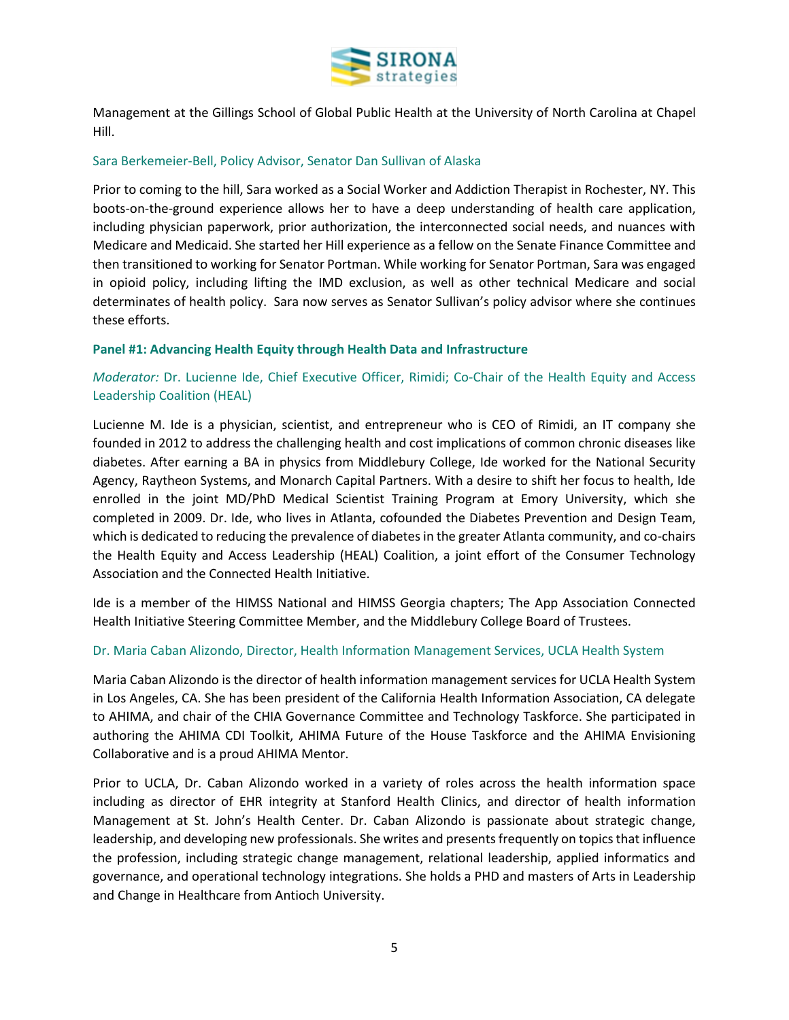

Management at the Gillings School of Global Public Health at the University of North Carolina at Chapel Hill.

### <span id="page-4-0"></span>Sara Berkemeier-Bell, Policy Advisor, Senator Dan Sullivan of Alaska

Prior to coming to the hill, Sara worked as a Social Worker and Addiction Therapist in Rochester, NY. This boots-on-the-ground experience allows her to have a deep understanding of health care application, including physician paperwork, prior authorization, the interconnected social needs, and nuances with Medicare and Medicaid. She started her Hill experience as a fellow on the Senate Finance Committee and then transitioned to working for Senator Portman. While working for Senator Portman, Sara was engaged in opioid policy, including lifting the IMD exclusion, as well as other technical Medicare and social determinates of health policy. Sara now serves as Senator Sullivan's policy advisor where she continues these efforts.

#### <span id="page-4-1"></span>**Panel #1: Advancing Health Equity through Health Data and Infrastructure**

<span id="page-4-2"></span>*Moderator:* Dr. Lucienne Ide, Chief Executive Officer, Rimidi; Co-Chair of the Health Equity and Access Leadership Coalition (HEAL)

Lucienne M. Ide is a physician, scientist, and entrepreneur who is CEO of Rimidi, an IT company she founded in 2012 to address the challenging health and cost implications of common chronic diseases like diabetes. After earning a BA in physics from Middlebury College, Ide worked for the National Security Agency, Raytheon Systems, and Monarch Capital Partners. With a desire to shift her focus to health, Ide enrolled in the joint MD/PhD Medical Scientist Training Program at Emory University, which she completed in 2009. Dr. Ide, who lives in Atlanta, cofounded the Diabetes Prevention and Design Team, which is dedicated to reducing the prevalence of diabetes in the greater Atlanta community, and co-chairs the Health Equity and Access Leadership (HEAL) Coalition, a joint effort of the Consumer Technology Association and the Connected Health Initiative.

Ide is a member of the HIMSS National and HIMSS Georgia chapters; The App Association Connected Health Initiative Steering Committee Member, and the Middlebury College Board of Trustees.

#### <span id="page-4-3"></span>Dr. Maria Caban Alizondo, Director, Health Information Management Services, UCLA Health System

Maria Caban Alizondo is the director of health information management services for UCLA Health System in Los Angeles, CA. She has been president of the California Health Information Association, CA delegate to AHIMA, and chair of the CHIA Governance Committee and Technology Taskforce. She participated in authoring the AHIMA CDI Toolkit, AHIMA Future of the House Taskforce and the AHIMA Envisioning Collaborative and is a proud AHIMA Mentor.

Prior to UCLA, Dr. Caban Alizondo worked in a variety of roles across the health information space including as director of EHR integrity at Stanford Health Clinics, and director of health information Management at St. John's Health Center. Dr. Caban Alizondo is passionate about strategic change, leadership, and developing new professionals. She writes and presents frequently on topics that influence the profession, including strategic change management, relational leadership, applied informatics and governance, and operational technology integrations. She holds a PHD and masters of Arts in Leadership and Change in Healthcare from Antioch University.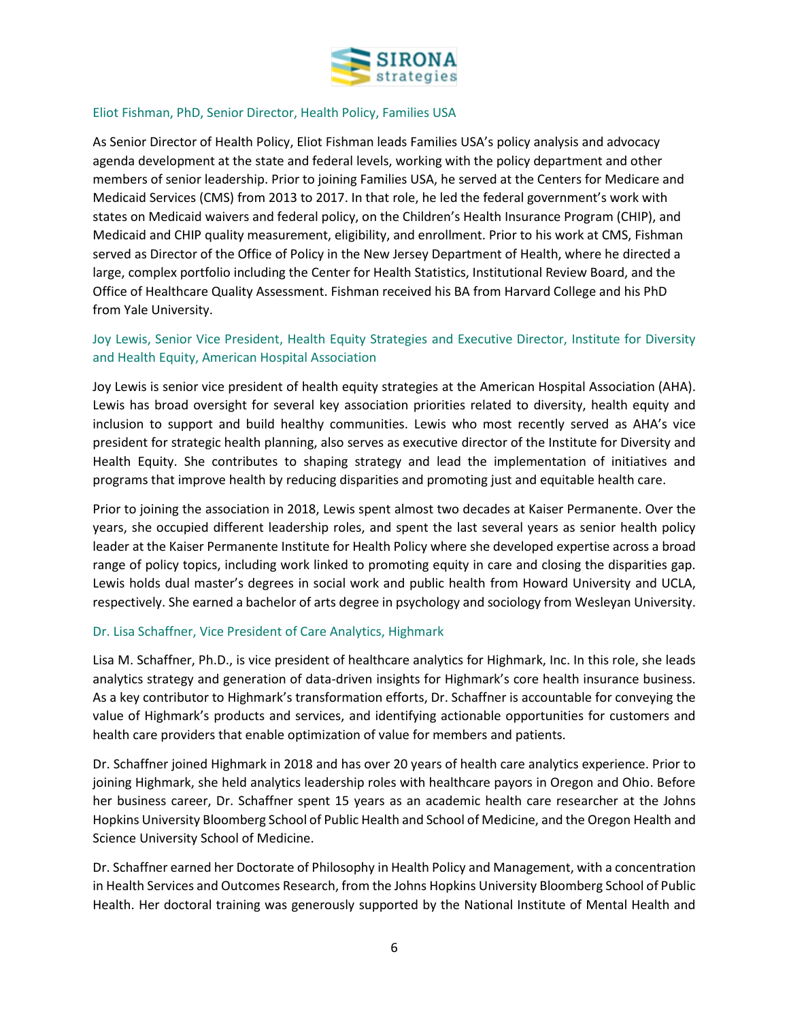

## <span id="page-5-0"></span>Eliot Fishman, PhD, Senior Director, Health Policy, Families USA

As Senior Director of Health Policy, Eliot Fishman leads Families USA's policy analysis and advocacy agenda development at the state and federal levels, working with the policy department and other members of senior leadership. Prior to joining Families USA, he served at the Centers for Medicare and Medicaid Services (CMS) from 2013 to 2017. In that role, he led the federal government's work with states on Medicaid waivers and federal policy, on the Children's Health Insurance Program (CHIP), and Medicaid and CHIP quality measurement, eligibility, and enrollment. Prior to his work at CMS, Fishman served as Director of the Office of Policy in the New Jersey Department of Health, where he directed a large, complex portfolio including the Center for Health Statistics, Institutional Review Board, and the Office of Healthcare Quality Assessment. Fishman received his BA from Harvard College and his PhD from Yale University.

## <span id="page-5-1"></span>Joy Lewis, Senior Vice President, Health Equity Strategies and Executive Director, Institute for Diversity and Health Equity, American Hospital Association

Joy Lewis is senior vice president of health equity strategies at the American Hospital Association (AHA). Lewis has broad oversight for several key association priorities related to diversity, health equity and inclusion to support and build healthy communities. Lewis who most recently served as AHA's vice president for strategic health planning, also serves as executive director of the Institute for Diversity and Health Equity. She contributes to shaping strategy and lead the implementation of initiatives and programs that improve health by reducing disparities and promoting just and equitable health care.

Prior to joining the association in 2018, Lewis spent almost two decades at Kaiser Permanente. Over the years, she occupied different leadership roles, and spent the last several years as senior health policy leader at the Kaiser Permanente Institute for Health Policy where she developed expertise across a broad range of policy topics, including work linked to promoting equity in care and closing the disparities gap. Lewis holds dual master's degrees in social work and public health from Howard University and UCLA, respectively. She earned a bachelor of arts degree in psychology and sociology from Wesleyan University.

## <span id="page-5-2"></span>Dr. Lisa Schaffner, Vice President of Care Analytics, Highmark

Lisa M. Schaffner, Ph.D., is vice president of healthcare analytics for Highmark, Inc. In this role, she leads analytics strategy and generation of data-driven insights for Highmark's core health insurance business. As a key contributor to Highmark's transformation efforts, Dr. Schaffner is accountable for conveying the value of Highmark's products and services, and identifying actionable opportunities for customers and health care providers that enable optimization of value for members and patients.

Dr. Schaffner joined Highmark in 2018 and has over 20 years of health care analytics experience. Prior to joining Highmark, she held analytics leadership roles with healthcare payors in Oregon and Ohio. Before her business career, Dr. Schaffner spent 15 years as an academic health care researcher at the Johns Hopkins University Bloomberg School of Public Health and School of Medicine, and the Oregon Health and Science University School of Medicine.

Dr. Schaffner earned her Doctorate of Philosophy in Health Policy and Management, with a concentration in Health Services and Outcomes Research, from the Johns Hopkins University Bloomberg School of Public Health. Her doctoral training was generously supported by the National Institute of Mental Health and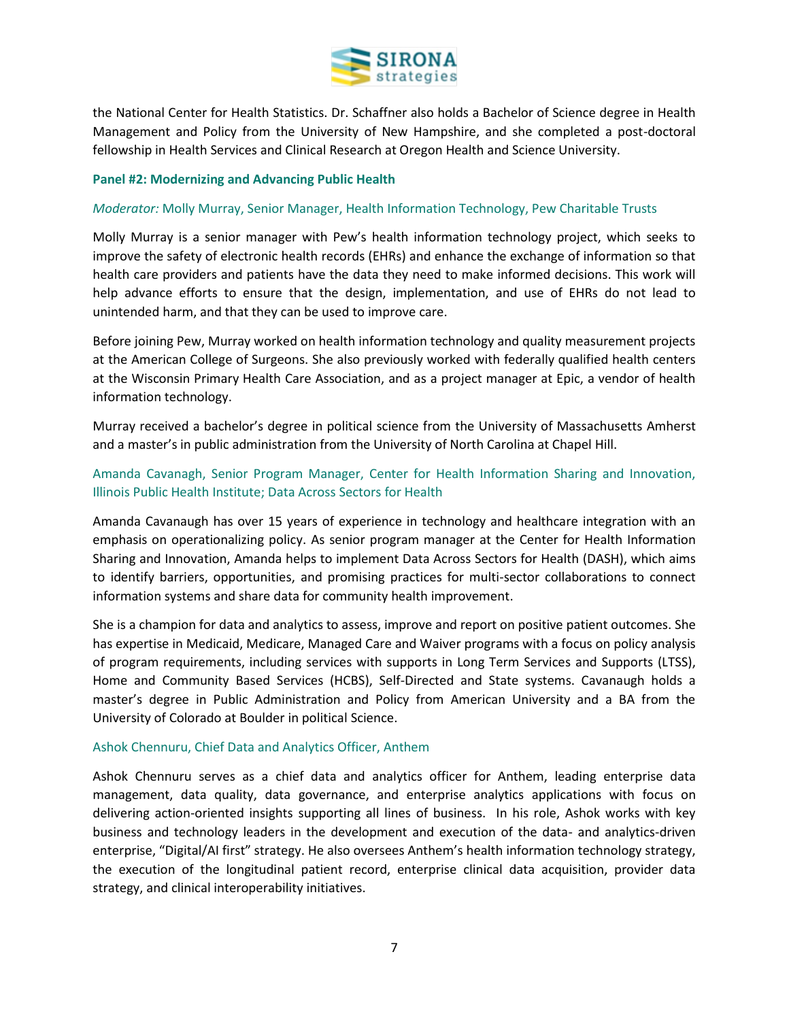

the National Center for Health Statistics. Dr. Schaffner also holds a Bachelor of Science degree in Health Management and Policy from the University of New Hampshire, and she completed a post-doctoral fellowship in Health Services and Clinical Research at Oregon Health and Science University.

#### <span id="page-6-0"></span>**Panel #2: Modernizing and Advancing Public Health**

## <span id="page-6-1"></span>*Moderator:* Molly Murray, Senior Manager, Health Information Technology, Pew Charitable Trusts

Molly Murray is a senior manager with Pew's health information technology project, which seeks to improve the safety of electronic health records (EHRs) and enhance the exchange of information so that health care providers and patients have the data they need to make informed decisions. This work will help advance efforts to ensure that the design, implementation, and use of EHRs do not lead to unintended harm, and that they can be used to improve care.

Before joining Pew, Murray worked on health information technology and quality measurement projects at the American College of Surgeons. She also previously worked with federally qualified health centers at the Wisconsin Primary Health Care Association, and as a project manager at Epic, a vendor of health information technology.

Murray received a bachelor's degree in political science from the University of Massachusetts Amherst and a master's in public administration from the University of North Carolina at Chapel Hill.

## <span id="page-6-2"></span>Amanda Cavanagh, Senior Program Manager, Center for Health Information Sharing and Innovation, Illinois Public Health Institute; Data Across Sectors for Health

Amanda Cavanaugh has over 15 years of experience in technology and healthcare integration with an emphasis on operationalizing policy. As senior program manager at the Center for Health Information Sharing and Innovation, Amanda helps to implement Data Across Sectors for Health (DASH), which aims to identify barriers, opportunities, and promising practices for multi-sector collaborations to connect information systems and share data for community health improvement.

She is a champion for data and analytics to assess, improve and report on positive patient outcomes. She has expertise in Medicaid, Medicare, Managed Care and Waiver programs with a focus on policy analysis of program requirements, including services with supports in Long Term Services and Supports (LTSS), Home and Community Based Services (HCBS), Self-Directed and State systems. Cavanaugh holds a master's degree in Public Administration and Policy from American University and a BA from the University of Colorado at Boulder in political Science.

## <span id="page-6-3"></span>Ashok Chennuru, Chief Data and Analytics Officer, Anthem

Ashok Chennuru serves as a chief data and analytics officer for Anthem, leading enterprise data management, data quality, data governance, and enterprise analytics applications with focus on delivering action-oriented insights supporting all lines of business. In his role, Ashok works with key business and technology leaders in the development and execution of the data- and analytics-driven enterprise, "Digital/AI first" strategy. He also oversees Anthem's health information technology strategy, the execution of the longitudinal patient record, enterprise clinical data acquisition, provider data strategy, and clinical interoperability initiatives.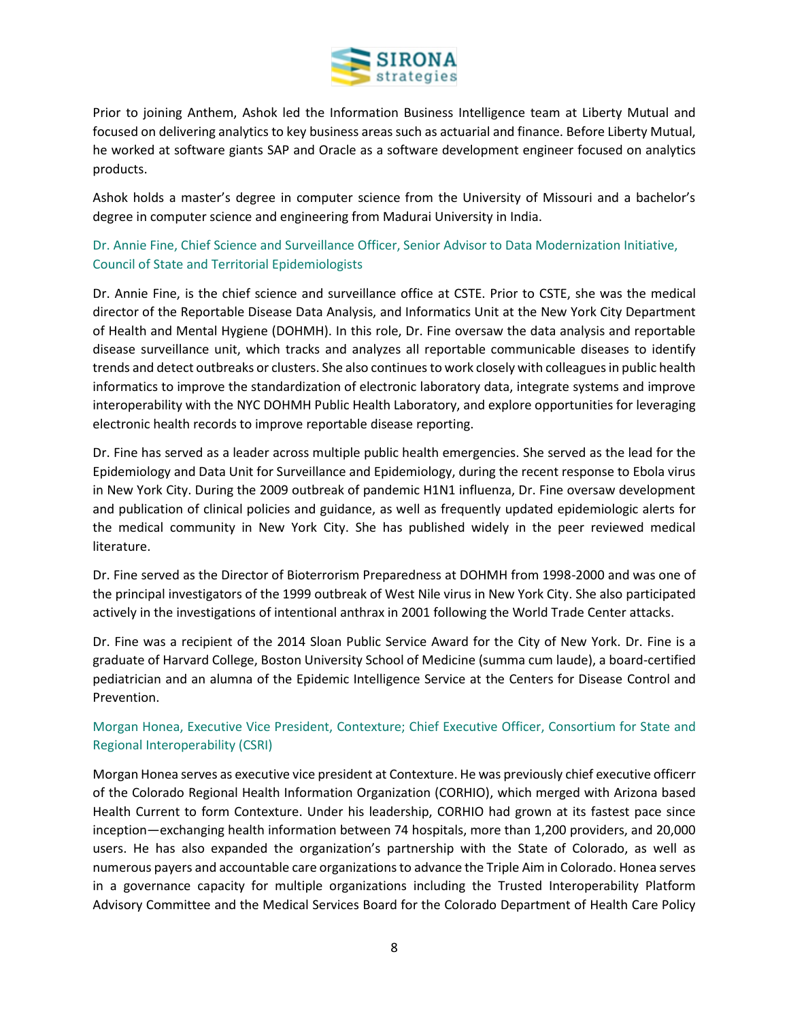

Prior to joining Anthem, Ashok led the Information Business Intelligence team at Liberty Mutual and focused on delivering analytics to key business areas such as actuarial and finance. Before Liberty Mutual, he worked at software giants SAP and Oracle as a software development engineer focused on analytics products.

Ashok holds a master's degree in computer science from the University of Missouri and a bachelor's degree in computer science and engineering from Madurai University in India.

<span id="page-7-0"></span>Dr. Annie Fine, Chief Science and Surveillance Officer, Senior Advisor to Data Modernization Initiative, Council of State and Territorial Epidemiologists

Dr. Annie Fine, is the chief science and surveillance office at CSTE. Prior to CSTE, she was the medical director of the Reportable Disease Data Analysis, and Informatics Unit at the New York City Department of Health and Mental Hygiene (DOHMH). In this role, Dr. Fine oversaw the data analysis and reportable disease surveillance unit, which tracks and analyzes all reportable communicable diseases to identify trends and detect outbreaks or clusters. She also continues to work closely with colleagues in public health informatics to improve the standardization of electronic laboratory data, integrate systems and improve interoperability with the NYC DOHMH Public Health Laboratory, and explore opportunities for leveraging electronic health records to improve reportable disease reporting.

Dr. Fine has served as a leader across multiple public health emergencies. She served as the lead for the Epidemiology and Data Unit for Surveillance and Epidemiology, during the recent response to Ebola virus in New York City. During the 2009 outbreak of pandemic H1N1 influenza, Dr. Fine oversaw development and publication of clinical policies and guidance, as well as frequently updated epidemiologic alerts for the medical community in New York City. She has published widely in the peer reviewed medical literature.

Dr. Fine served as the Director of Bioterrorism Preparedness at DOHMH from 1998-2000 and was one of the principal investigators of the 1999 outbreak of West Nile virus in New York City. She also participated actively in the investigations of intentional anthrax in 2001 following the World Trade Center attacks.

Dr. Fine was a recipient of the 2014 Sloan Public Service Award for the City of New York. Dr. Fine is a graduate of Harvard College, Boston University School of Medicine (summa cum laude), a board-certified pediatrician and an alumna of the Epidemic Intelligence Service at the Centers for Disease Control and Prevention.

## <span id="page-7-1"></span>Morgan Honea, Executive Vice President, Contexture; Chief Executive Officer, Consortium for State and Regional Interoperability (CSRI)

Morgan Honea serves as executive vice president at Contexture. He was previously chief executive officerr of the Colorado Regional Health Information Organization (CORHIO), which merged with Arizona based Health Current to form Contexture. Under his leadership, CORHIO had grown at its fastest pace since inception—exchanging health information between 74 hospitals, more than 1,200 providers, and 20,000 users. He has also expanded the organization's partnership with the State of Colorado, as well as numerous payers and accountable care organizations to advance the Triple Aim in Colorado. Honea serves in a governance capacity for multiple organizations including the Trusted Interoperability Platform Advisory Committee and the Medical Services Board for the Colorado Department of Health Care Policy